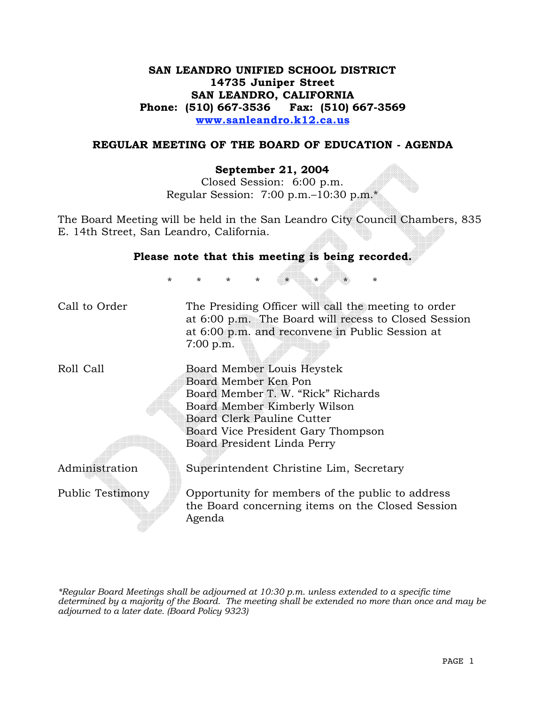# **SAN LEANDRO UNIFIED SCHOOL DISTRICT 14735 Juniper Street SAN LEANDRO, CALIFORNIA Phone: (510) 667-3536 Fax: (510) 667-3569 www.sanleandro.k12.ca.us**

### **REGULAR MEETING OF THE BOARD OF EDUCATION - AGENDA**

#### **September 21, 2004**

Closed Session: 6:00 p.m. Regular Session: 7:00 p.m.–10:30 p.m.\*

The Board Meeting will be held in the San Leandro City Council Chambers, 835 E. 14th Street, San Leandro, California.

| Please note that this meeting is being recorded. |                                                                                                                                                                                                                             |  |
|--------------------------------------------------|-----------------------------------------------------------------------------------------------------------------------------------------------------------------------------------------------------------------------------|--|
| $\star$                                          | $\star$<br>$\star$<br>$\star$<br>$\star$<br>$^\star$                                                                                                                                                                        |  |
| Call to Order                                    | The Presiding Officer will call the meeting to order<br>at 6:00 p.m. The Board will recess to Closed Session<br>at 6:00 p.m. and reconvene in Public Session at<br>$7:00$ p.m.                                              |  |
| Roll Call                                        | Board Member Louis Heystek<br>Board Member Ken Pon<br>Board Member T. W. "Rick" Richards<br>Board Member Kimberly Wilson<br>Board Clerk Pauline Cutter<br>Board Vice President Gary Thompson<br>Board President Linda Perry |  |
| Administration                                   | Superintendent Christine Lim, Secretary                                                                                                                                                                                     |  |
| Public Testimony                                 | Opportunity for members of the public to address<br>the Board concerning items on the Closed Session<br>Agenda                                                                                                              |  |

*\*Regular Board Meetings shall be adjourned at 10:30 p.m. unless extended to a specific time determined by a majority of the Board. The meeting shall be extended no more than once and may be adjourned to a later date. (Board Policy 9323)*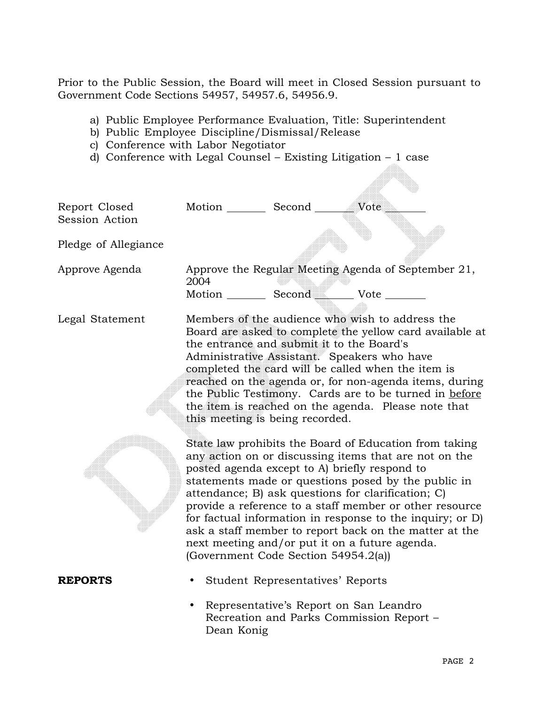Prior to the Public Session, the Board will meet in Closed Session pursuant to Government Code Sections 54957, 54957.6, 54956.9.

- a) Public Employee Performance Evaluation, Title: Superintendent
- b) Public Employee Discipline/Dismissal/Release
- c) Conference with Labor Negotiator
- d) Conference with Legal Counsel Existing Litigation 1 case

| Report Closed<br>Session Action<br>Pledge of Allegiance | Motion __________ Second _________ Vote                                               |                                        |                                                                                                                                                                                                                                                                                                                                                                                                                                                                  |
|---------------------------------------------------------|---------------------------------------------------------------------------------------|----------------------------------------|------------------------------------------------------------------------------------------------------------------------------------------------------------------------------------------------------------------------------------------------------------------------------------------------------------------------------------------------------------------------------------------------------------------------------------------------------------------|
| Approve Agenda                                          | 2004<br>Motion Second Vote                                                            |                                        | Approve the Regular Meeting Agenda of September 21,                                                                                                                                                                                                                                                                                                                                                                                                              |
| Legal Statement                                         | the entrance and submit it to the Board's<br>this meeting is being recorded.          |                                        | Members of the audience who wish to address the<br>Board are asked to complete the yellow card available at<br>Administrative Assistant. Speakers who have<br>completed the card will be called when the item is<br>reached on the agenda or, for non-agenda items, during<br>the Public Testimony. Cards are to be turned in before<br>the item is reached on the agenda. Please note that                                                                      |
|                                                         | posted agenda except to A) briefly respond to<br>(Government Code Section 54954.2(a)) |                                        | State law prohibits the Board of Education from taking<br>any action on or discussing items that are not on the<br>statements made or questions posed by the public in<br>attendance; B) ask questions for clarification; C)<br>provide a reference to a staff member or other resource<br>for factual information in response to the inquiry; or D)<br>ask a staff member to report back on the matter at the<br>next meeting and/or put it on a future agenda. |
| <b>REPORTS</b>                                          |                                                                                       | Student Representatives' Reports       |                                                                                                                                                                                                                                                                                                                                                                                                                                                                  |
|                                                         | Dean Konig                                                                            | Representative's Report on San Leandro | Recreation and Parks Commission Report -                                                                                                                                                                                                                                                                                                                                                                                                                         |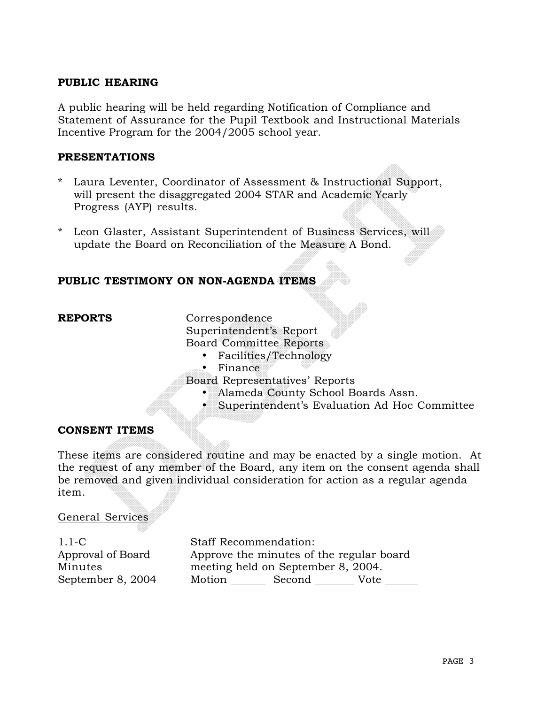## **PUBLIC HEARING**

A public hearing will be held regarding Notification of Compliance and Statement of Assurance for the Pupil Textbook and Instructional Materials Incentive Program for the 2004/2005 school year.

## **PRESENTATIONS**

- Laura Leventer, Coordinator of Assessment & Instructional Support, will present the disaggregated 2004 STAR and Academic Yearly Progress (AYP) results.
- \* Leon Glaster, Assistant Superintendent of Business Services, will update the Board on Reconciliation of the Measure A Bond.

# **PUBLIC TESTIMONY ON NON-AGENDA ITEMS**

**REPORTS** Correspondence

Superintendent's Report

Board Committee Reports

- Facilities/Technology
- Finance

Board Representatives' Reports

- Alameda County School Boards Assn.
- Superintendent's Evaluation Ad Hoc Committee

## **CONSENT ITEMS**

These items are considered routine and may be enacted by a single motion. At the request of any member of the Board, any item on the consent agenda shall be removed and given individual consideration for action as a regular agenda item.

## General Services

1.1-C Approval of Board Minutes September 8, 2004 Staff Recommendation: Approve the minutes of the regular board meeting held on September 8, 2004. Motion \_\_\_\_\_\_\_\_\_ Second \_\_\_\_\_\_\_\_\_\_ Vote \_\_\_\_\_\_\_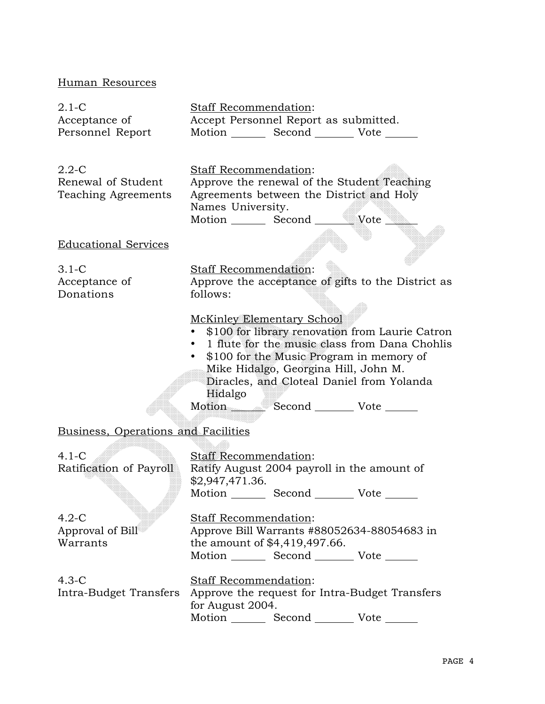# Human Resources

| $2.1-C$<br>Acceptance of<br>Personnel Report           | <b>Staff Recommendation:</b><br>Accept Personnel Report as submitted.<br>Motion Second Vote                                                                                                                                                                                                                                  |
|--------------------------------------------------------|------------------------------------------------------------------------------------------------------------------------------------------------------------------------------------------------------------------------------------------------------------------------------------------------------------------------------|
| $2.2 - C$<br>Renewal of Student<br>Teaching Agreements | <b>Staff Recommendation:</b><br>Approve the renewal of the Student Teaching<br>Agreements between the District and Holy<br>Names University.                                                                                                                                                                                 |
| <b>Educational Services</b>                            |                                                                                                                                                                                                                                                                                                                              |
| $3.1-C$<br>Acceptance of<br>Donations                  | <b>Staff Recommendation:</b><br>Approve the acceptance of gifts to the District as<br>follows:                                                                                                                                                                                                                               |
|                                                        | <b>McKinley Elementary School</b><br>\$100 for library renovation from Laurie Catron<br>• 1 flute for the music class from Dana Chohlis<br>\$100 for the Music Program in memory of<br>$\bullet$<br>Mike Hidalgo, Georgina Hill, John M.<br>Diracles, and Cloteal Daniel from Yolanda<br>Hidalgo<br>Motion Second Vote _____ |
| Business, Operations and Facilities                    |                                                                                                                                                                                                                                                                                                                              |
| $4.1-C$<br>Ratification of Payroll                     | Staff Recommendation:<br>Ratify August 2004 payroll in the amount of<br>\$2,947,471.36.<br>Motion _________ Second ______<br>Vote                                                                                                                                                                                            |
| $4.2 - C$<br>Approval of Bill<br>Warrants              | <b>Staff Recommendation:</b><br>Approve Bill Warrants #88052634-88054683 in<br>the amount of \$4,419,497.66.<br>Motion _________ Second __________ Vote _______                                                                                                                                                              |
| $4.3-C$                                                | <b>Staff Recommendation:</b><br>Intra-Budget Transfers Approve the request for Intra-Budget Transfers<br>for August 2004.<br>Motion _________ Second __________ Vote _______                                                                                                                                                 |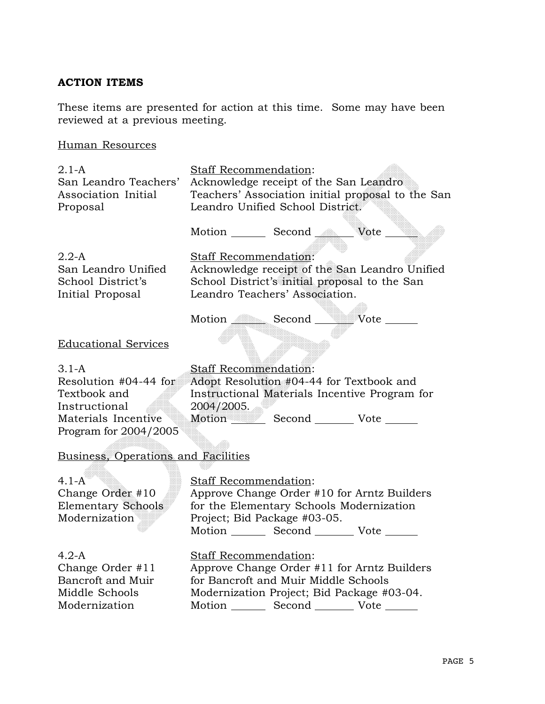# **ACTION ITEMS**

These items are presented for action at this time. Some may have been reviewed at a previous meeting.

# Human Resources

| $2.1-A$<br>San Leandro Teachers'<br>Association Initial<br>Proposal                                               | Staff Recommendation:<br>Acknowledge receipt of the San Leandro<br>Leandro Unified School District.                                                                                                           | Teachers' Association initial proposal to the San |
|-------------------------------------------------------------------------------------------------------------------|---------------------------------------------------------------------------------------------------------------------------------------------------------------------------------------------------------------|---------------------------------------------------|
|                                                                                                                   |                                                                                                                                                                                                               |                                                   |
| $2.2-A$<br>San Leandro Unified<br>School District's<br>Initial Proposal                                           | Staff Recommendation:<br>School District's initial proposal to the San<br>Leandro Teachers' Association.                                                                                                      | Acknowledge receipt of the San Leandro Unified    |
|                                                                                                                   | Motion Second Wote                                                                                                                                                                                            |                                                   |
| <b>Educational Services</b>                                                                                       |                                                                                                                                                                                                               |                                                   |
| $3.1-A$<br>Resolution #04-44 for<br>Textbook and<br>Instructional<br>Materials Incentive<br>Program for 2004/2005 | Staff Recommendation:<br>Adopt Resolution #04-44 for Textbook and<br>Instructional Materials Incentive Program for<br>2004/2005.<br>Motion Second ________ Vote ______                                        |                                                   |
| Business, Operations and Facilities                                                                               |                                                                                                                                                                                                               |                                                   |
| $4.1-A$<br>Change Order #10<br><b>Elementary Schools</b><br>Modernization                                         | <b>Staff Recommendation:</b><br>Approve Change Order #10 for Arntz Builders<br>for the Elementary Schools Modernization<br>Project; Bid Package #03-05.<br>Motion _________ Second _________ Vote _______     |                                                   |
| $4.2-A$<br>Change Order #11<br>Bancroft and Muir<br>Middle Schools<br>Modernization                               | Staff Recommendation:<br>Approve Change Order #11 for Arntz Builders<br>for Bancroft and Muir Middle Schools<br>Modernization Project; Bid Package #03-04.<br>Motion _________ Second __________ Vote _______ |                                                   |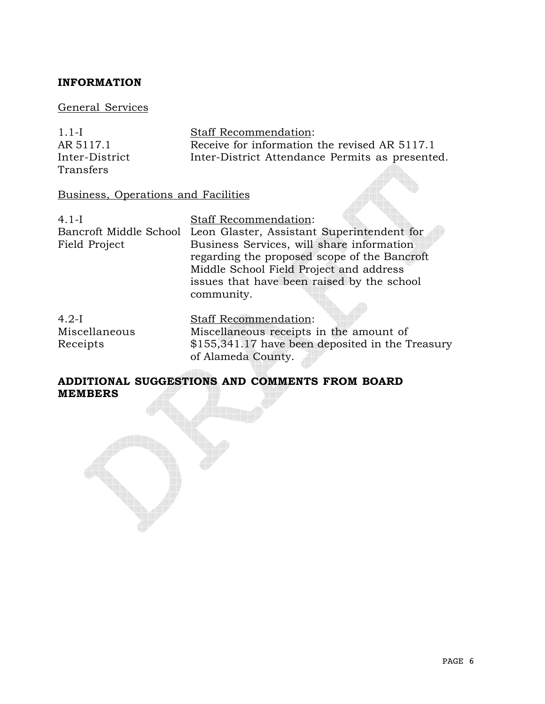# **INFORMATION**

## General Services

| $1.1-I$        | <b>Staff Recommendation:</b>                    |
|----------------|-------------------------------------------------|
| AR 5117.1      | Receive for information the revised AR 5117.1   |
| Inter-District | Inter-District Attendance Permits as presented. |
| Transfers      |                                                 |

# Business, Operations and Facilities

| $4.1-I$                | Staff Recommendation:                            |
|------------------------|--------------------------------------------------|
| Bancroft Middle School | Leon Glaster, Assistant Superintendent for       |
| Field Project          | Business Services, will share information        |
|                        | regarding the proposed scope of the Bancroft     |
|                        | Middle School Field Project and address          |
|                        | issues that have been raised by the school       |
|                        | community.                                       |
|                        |                                                  |
| $4.2-I$                | Staff Recommendation:                            |
| Miscellaneous          | Miscellaneous receipts in the amount of          |
| Receipts               | \$155,341.17 have been deposited in the Treasury |

# **ADDITIONAL SUGGESTIONS AND COMMENTS FROM BOARD MEMBERS**

of Alameda County.